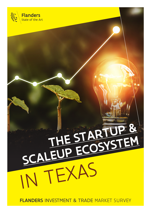

# THE START SCALEUP ECOSYSTEM IN TEXAS

FLANDERS INVESTMENT & TRADE MARKET SURVEY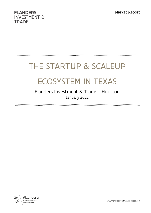Market Report



//////////////////////////////////////////////////////////////////////////////////////////////////////////////////////////////////

# THE STARTUP & SCALEUP

## ECOSYSTEM IN TEXAS

## Flanders Investment & Trade – Houston January 2022

//////////////////////////////////////////////////////////////////////////////////////////////////////////////////////////////////

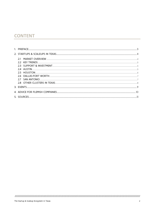## **CONTENT**

| HOUSTON.                     |  |
|------------------------------|--|
|                              |  |
| SAN ANTONIO                  |  |
| 2.8 OTHER CLUSTERS IN TEXAS. |  |
| 3. EVENTS.                   |  |
|                              |  |
| 5. SOURCES.                  |  |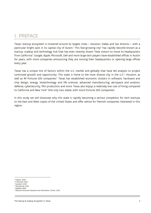## <span id="page-3-0"></span>1. PREFACE

Texas' startup ecosystem is clustered around its largest cities – Houston, Dallas and San Antonio – with a particular bright spot in its capital city of Austin.<sup>[1](#page-3-1)</sup> This fast-growing city<sup>[2](#page-3-2)</sup> has rapidly become known as a startup, scaleup and technology hub that has even recently drawn Tesla motors to move its headquarters from California<sup>[3](#page-3-3)</sup>. Google, Apple, Microsoft, Dell and more large tech players have established offices in Austin for years, with more companies announcing they are moving their headquarters or opening large offices every year.

Texas has a unique mix of factors within the U.S. market and globally that have led analysts to project continued growth and opportunity. This state is home to the most diverse city in the U.S.<sup>[4](#page-3-4)</sup>, Houston, as well as 49 Fortune [5](#page-3-5)00 companies<sup>5</sup>. Texas has established economic clusters in software, hardware and chip design, energy, biotechnology and life sciences, advanced manufacturing, aerospace and aviation, defense, cybersecurity, film production and more. Texas also enjoys a relatively low cost of living compared to California and New York<sup>[6](#page-3-6)</sup> (the only two states with more Fortune 500 companies).

In this study we will showcase why this state is rapidly becoming a serious competitor for tech startups to the East and West coasts of the United States and offer advice for Flemish companies interested in this region.

<span id="page-3-1"></span><sup>&</sup>lt;sup>1</sup> (Tepper, 2020)

<span id="page-3-2"></span><sup>2</sup> (O'Donnell, 2021)

<span id="page-3-3"></span><sup>3</sup> (Lambert, 2021)

<span id="page-3-4"></span><sup>4</sup> (Wendlandt, 2021) <sup>5</sup> (Statista, 2021)

<span id="page-3-5"></span><sup>6</sup> (Missouri Economic Research and Information Center, 2021)

<span id="page-3-6"></span>

<sup>////////////////////////////////////////////////////////////////////////////////////////////////////////////////////////////////////////////////////////////////</sup>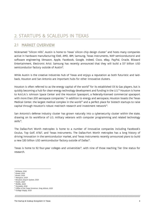## <span id="page-4-0"></span>2. STARTUPS & SCALEUPS IN TEXAS

## <span id="page-4-1"></span>2.1 MARKET OVERVIEW

Nicknamed "Silicon Hills", Austin is home to Texas' silicon chip design cluster[7](#page-4-2) and hosts many companies active in hardware manufacturing (Dell, AMD, IBM, Samsung, Texas Instruments, NXP semiconductors) and software engineering (Amazon, Apple, Facebook, Google, Indeed, Cisco, eBay, PayPal, Oracle, Blizzard Entertainment, Electronic Arts). Samsung has recently announced that they will build a \$17 billion USD semiconductor factory outside of Austin<sup>[8](#page-4-3)</sup>.

While Austin is the creative industries hub of Texas and enjoys a reputation as both futuristic and laidback, Houston and San Antonio are important hubs for other innovative clusters.

Houston is often referred to as the energy capital of the world<sup>9</sup> for its established Oil & Gas players, but is quickly becoming a hub for clean energy technology development and funding in the U.S.<sup>[10](#page-4-5)</sup> Houston is home to N.A.S.A.'s Johnson Space Center and the Houston Spaceport, a federally-licensed commercial spaceport with more than 200 aerospace companies.<sup>[11](#page-4-6)</sup> In addition to energy and aerospace, Houston boasts the Texas Medical Center, the largest medical complex in the world<sup>[12](#page-4-7)</sup> and a perfect place for biotech startups to raise capital through Houston's robust med-tech research and investment network[13](#page-4-8).

San Antonio's defense industry cluster has grown naturally into a cybersecurity cluster within the state, drawing on its workforce of U.S. military veterans with computer programming and related technology skills<sup>[14](#page-4-9)</sup>.

The Dallas-Fort Worth metroplex is home to a number of innovative companies including Facebook's Oculus, Top Golf, AT&T, and Texas Instruments. The Dallas-Fort Worth metroplex has a long history of driving innovation in the semiconductor market, and Texas Instruments recently announced plans to build a new \$30 billion USD semiconductor factory outside of Dallas<sup>[15](#page-4-10)</sup>.

Texas is home to 92 four-year colleges and universities<sup>16</sup>, with nine of those reaching Tier One status for research.

<span id="page-4-2"></span> $<sup>7</sup>$  (Williams, 2016)</sup>

<span id="page-4-3"></span><sup>8</sup> (Shead, 2021)

<span id="page-4-4"></span><sup>9</sup> (Prado, 2021)

<span id="page-4-5"></span><sup>10</sup> (Hampton, 2021)

<span id="page-4-6"></span><sup>&</sup>lt;sup>11</sup> (Houston Airport System, 2021)

<sup>&</sup>lt;sup>12</sup> (Smith, 2021)

<span id="page-4-8"></span><span id="page-4-7"></span><sup>&</sup>lt;sup>13</sup> (Moffat, 2020)

<span id="page-4-9"></span><sup>14</sup> (Gonzalez, 2016)

<span id="page-4-10"></span><sup>15</sup> (Office of the Texas Governor, Greg Abbott, 2021)

<span id="page-4-11"></span><sup>16</sup> (College Simply, 2021)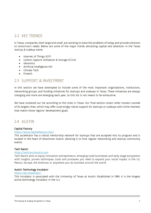## <span id="page-5-0"></span>2.2 KEY TRENDS

In Texas, companies, both large and small, are working to solve the problems of today and provide solutions to tomorrow's needs. Below are some of the major trends attracting capital and attention in the Texas startup & scaleup scene:

- Internet of Things (IOT)
- Carbon Capture Utilization & Storage (CCUS)
- Genomics
- Artificial Intelligence (AI)
- Climate Tech
- Fintech

## <span id="page-5-1"></span>2.3 SUPPORT & INVESTMENT

In this section we have attempted to include some of the most important organizations, institutions, networking groups, and funding initiatives for startups and scaleups in Texas. These initiatives are always changing and more are emerging each year, so this list is not meant to be exhaustive.

We have clustered our list according to the cities in Texas. Our final section covers other clusters outside of its largest cities, which may offer surprisingly robust support for startups or scaleups with niche interests that match those regions' development goals.

### <span id="page-5-2"></span>2.4 AUSTIN

#### Capital Factory

#### <https://www.capitalfactory.com/>

This accelerator has a robust mentorship network for startups that are accepted into its program and is located in the heart of downtown Austin, allowing it to host regular networking and startup community events.

#### Tech Ranch

#### [https://techranchaustin.com](https://techranchaustin.com/)

Tech Ranch aims to equip innovation entrepreneurs, emerging small businesses and early stage ecosystems with insights, proven techniques, tools and processes you need to expand your social impact in the US, Mexico, Europe, the Americas or anywhere you do business around the world.

#### Austin Technology Incubator

#### <https://ati.utexas.edu/>

This incubator is associated with the University of Texas at Austin. Established in 1989, it is the longest active technology incubator in the U.S.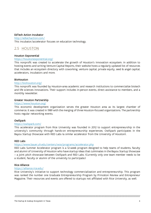#### EdTech Action Incubator

<http://edtechaction.com/> This incubator/accelerator focuses on education technology.

## <span id="page-6-0"></span>2.5 HOUSTON

#### Houston Exponential

#### <https://houstonexponential.org/>

This nonprofit was created to accelerate the growth of Houston's innovation ecosystem. In addition to hosting events and writing Venture Capital Reports, their website hosts a regularly updated list of resources that includes an ecosystem directory with coworking, venture capital, private equity, seed & angel capital, accelerators, incubators and more.

#### BioHouston

#### <http://biohouston.org/>

This nonprofit was founded by Houston-area academic and research institutions to commercialize biotech and life sciences innovations. Their support includes in-person events, direct assistance to members, and a monthly newsletter.

#### Greater Houston Partnership

#### <https://www.houston.org/>

This economic development organization serves the greater Houston area as its largest chamber of commerce. It was created in 1989 with the merging of three Houston-focused organizations. The partnership hosts regular networking events.

#### **OwlSpark**

#### <https://owlspark.com/>

This accelerator program from Rice University was founded in 2012 to support entrepreneurship in the university's community through hands-on entrepreneurship experiences. OwlSpark participates in the Bayou Startup Showcase with RED Labs (a similar accelerator from the University of Houston).

#### RED Labs

#### <https://www.bauer.uh.edu/centers/wce/programs/accelerator.php>

RED Labs Summer Accelerator program is a 12-week program designed to help teams of students, faculty and alumni of University of Houston who have startup ideas that culminates in the Bayou Startup Showcase – a joint pitch showcase between OwlSpark and RED Labs. (Currently only one team member needs to be a student, faculty or alumni of the university to participate.)

#### Rice Alliance

#### <https://alliance.rice.edu/>

Rice University's initiative to support technology commercialization and entrepreneurship. This program was ranked the number one Graduate Entrepreneurship Program by Princeton Review and Entrepreneur Magazine. Their resources and events are offered to startups not affiliated with Rice University, as well.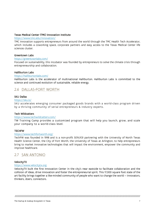#### Texas Medical Center (TMC) Innovation Institute

#### <https://www.tmc.edu/innovation/>

TMC Innovation supports entrepreneurs from around the world through the TMC Health Tech Accelerator, which includes a coworking space, corporate partners and easy access to the Texas Medical Center life sciences cluster.

#### Greentown Labs

#### <https://greentownlabs.com/>

Focused on sustainability, this incubator was founded by entrepreneurs to solve the climate crisis through entrepreneurship and collaboration.

#### Halliburton Labs

#### <https://halliburtonlabs.com/>

Halliburton Labs is the accelerator of multinational Halliburton. Halliburton Labs is committed to the science and continued evolution of sustainable, reliable energy.

#### <span id="page-7-0"></span>2.6 DALLAS-FORT WORTH

#### SKU Dallas

#### <https://sku.is/>

SKU accelerates emerging consumer packaged goods brands with a world-class program driven by a thriving community of serial entrepreneurs & industry experts.

#### Tech Wildcatters

#### <https://www.techwildcatters.com/>

TW Training Camp provides a customized program that will help you launch, grow, and scale your company to a world-class level.

#### **TECHEW**

#### <https://www.techfortworth.org/>

TechFW was founded in 1998 and is a non-profit 501(c)(3) partnering with the University of North Texas Health Science Center, the City of Fort Worth, the University of Texas at Arlington, to help entrepreneurs bring to market innovative technologies that will impact the environment, empower the community and improve healthcare.

#### <span id="page-7-1"></span>2.7 SAN ANTONIO

#### VelocityTX

#### [https://www.velocitytx.org](https://www.velocitytx.org/)

VelocityTX built the first Innovation Center in the city's near eastside to facilitate collaboration and the collision of ideas, drive innovation and foster the entrepreneurial spirit. This 17,000 square foot state of the art facility brings together a like-minded community of people who want to change the world — innovators, thinkers, doers, connectors.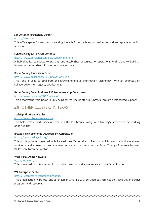#### San Antonio Technology Center

<https://satc.org/>

This office space focuses on connecting biotech firms, technology businesses and entrepreneurs in San Antonio.

#### CyberSecurity at Port San Antonio

#### <https://www.portsanantonio.us/CyberWorksHere>

A hub that leases spaces to start-up and established cybersecurity operations, with plans to build an innovation center that will host tech competitions.

#### Bexar County Innovation Fund

#### <https://www.bexar.org/2795/Innovation-Fund>

This fund is used to accelerate the growth of digital information technology, with an emphasis on collaborative, multi-agency applications.

#### Bexar County Small Business & Entrepreneurship Department

<https://www.bexar.org/145/Businesses>

This department from Bexar County helps entrepreneurs start businesses through personalized support.

## <span id="page-8-0"></span>2.8 OTHER CLUSTERS IN TEXAS

#### ScaleUp Rio Grande Valley

#### <https://www.utrgv.edu/scaleup/>

This helps established business owners in the Rio Grande Valley with trainings, advice and networking opportunities.

#### Brazos Valley Economic Development Corporation

#### <https://brazosvalleyedc.org/>

This public-private organization is located near Texas A&M University, which boasts a highly-educated workforce and a low-cost business environment at the center of the Texas Triangle (the area between Dallas/San Antonio/Houston.)

#### West Texas Angel Network

#### <http://wtan.org/>

This organization is focused on introducing investors and entrepreneurs in the Amarillo area.

#### WT Enterprise Center

#### <https://wtenterprisecenter.com/about/>

This organization helps local entrepreneurs in Amarillo with certified business coaches, facilities and other programs and resources.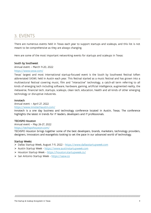## <span id="page-9-0"></span>3. EVENTS

There are numerous events held in Texas each year to support startups and scaleups, and this list is not meant to be comprehensive as they are always changing.

Here are some of the most important networking events for startups and scaleups in Texas:

#### South by Southwest

Annual event – March 11-20, 2022

#### <https://www.sxsw.com/>

Texas' largest and most international startup-focused event is the South by Southwest festival (often abbreviated SXSW), held in Austin each year. This festival started as a music festival and has grown into a multisectoral festival covering music, film and "interactive" technology, a catch-all term referring to all kinds of emerging tech including software, hardware, gaming, artificial intelligence, augmented reality, the metaverse, financial tech, startups, scaleups, clean tech, education, health and all kinds of other emerging technology or disruptive industries.

#### Innotech

#### Annual event – April 27, 2022

#### <https://www.innotechaustin.com/>

Innotech is a one day business and technology conference located in Austin, Texas. The conference highlights the latest in trends for IT leaders, developers and IT professionals.

#### TECHSPO Houston

Annual event – May 26-27, 2022 <https://techspohouston.com/>

TECHSPO Houston brings together some of the best developers, brands, marketers, technology providers, designers, innovators and evangelists looking to set the pace in our advanced world of technology.

#### Startup Weeks:

- Dallas Startup Week, August 7-11, 2022 [https://www.dallasstartupweek.com](https://www.dallasstartupweek.com/)
- Austin Startup Week [https://www.austinstartupweek.com](https://www.austinstartupweek.com/)
- Houston Startup Week <https://houston.startupweek.co/>
- San Antonio Startup Week [https://sasw.co](https://sasw.co/)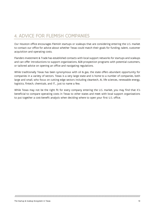## <span id="page-10-0"></span>4. ADVICE FOR FLEMISH COMPANIES

Our Houston office encourages Flemish startups or scaleups that are considering entering the U.S. market to contact our office for advice about whether Texas could match their goals for funding, talent, customer acquisition and operating costs.

Flanders Investment & Trade has established contacts with local support networks for startups and scaleups and can offer introductions to support organizations, B2B prospection programs with potential customers, or tailored advice on opening an office and navigating regulations.

While traditionally Texas has been synonymous with oil & gas, the state offers abundant opportunity for companies in a variety of sectors. Texas is a very large state and is home to a number of companies, both large and small, who focus on cutting edge sectors including cleantech, AI, life sciences, renewable energy, logistics, fintech, chemicals, and IT… just to name a few.

While Texas may not be the right fit for every company entering the U.S. market, you may find that it's beneficial to compare operating costs in Texas to other states and meet with local support organizations to put together a cost-benefit analysis when deciding where to open your first U.S. office.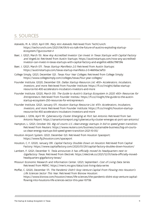## <span id="page-11-0"></span>5. SOURCES

- Azevedo, M. A. (2021, April 09). Mary Ann Azevedo. Retrieved from TechCrunch: https://techcrunch.com/2021/04/09/6-vcs-talk-the-future-of-austins-exploding-startupecosystem/?guccounter=1
- Baer, J. (2021, March 15). Now Any Accredited Investor Can Invest in Texas Startups with Capital Factory and AngelList. Retrieved from Austin Startups: https://austinstartups.com/now-any-accreditedinvestor-can-invest-in-texas-startups-with-capital-factory-and-angellist-e83bc798739e
- Baer, J. (2021, March 07). Texas Startup Manifesto 2.0. Retrieved from Austin Startups: https://austinstartups.com/texas-startup-manifesto-2-0-4669dac1af53
- College Simply. (2021, December 02). Texas Four Year Colleges. Retrieved from College Simply: https://www.collegesimply.com/colleges/texas/four-year-colleges/
- Founder Institute. (2020, December 03). Dallas Startup Resource List: 400+ Accelerators, Incubators, Investors, and more. Retrieved from Founder Institute: https://fi.co/insight/dallas-startupresource-list-400-accelerators-incubators-investors-and-more
- Founder Institute. (2020, March 05). The Guide to Austin's Startup Ecosystem in 2020: 450+ Resources for Entrepreneurs. Retrieved from Founder Institeu: https://fi.co/insight/the-guide-to-the-austinstartup-ecosystem-250-resources-for-entrepreneurs
- Founder Institute. (2021, January 07). Houston Startup Resource List: 470+ Accelerators, Incubators, Investors, and more. Retrieved from Founder Institute: https://fi.co/insight/houston-startupresource-list-450-accelerators-incubators-investors-and-more
- Gonzalez, I. (2016, April 19). Cybersecurity Cluster Emerging at Port San Antonio. Retrieved from San Antonio Report: https://sanantonioreport.org/cybersecurity-cluster-emerges-at-port-san-antonio/
- Hampton, L. (2021, October 05). Big oil courts U.S. clean-energy startups in bid to speed green transition. Retrieved from Reuters: https://www.reuters.com/business/sustainable-business/big-oil-courtsus-clean-energy-startups-bid-speed-green-transition-2021-10-05/
- Houston Airport System. (2021, December 02). Retrieved from Houston Spaceport: https://www.fly2houston.com/spaceport
- Houston, C. F. (2020, January 09). Capital Factory Doubles Down on Houston. Retrieved from Capital Factory: https://www.capitalfactory.com/2020/01/29/capital-factory-doubles-down-houston/
- Lambert, F. (2021, December 1). Tesla announces it has officially moved its headquarters next to Gigafactory Texas. Retrieved from Electrek: https://electrek.co/2021/12/01/tesla-officially-movedheadquarters-gigafactory-texas/
- Missouri Economic Research and Information Center. (2021, September). Cost of Living Data Series. Retrieved from MERIC: https://meric.mo.gov/data/cost-living-data-series
- Moffat, C. (2020, December 17). The Pandemic Didn't Stop Venture Capital From Flowing Into Houston's Life Sciences Sector This Year. Retrieved from Bisnow Houston: https://www.bisnow.com/houston/news/life-sciences/the-pandemic-didnt-stop-venture-capitalflowing-into-houstons-life-sciences-sector-this-year-107136